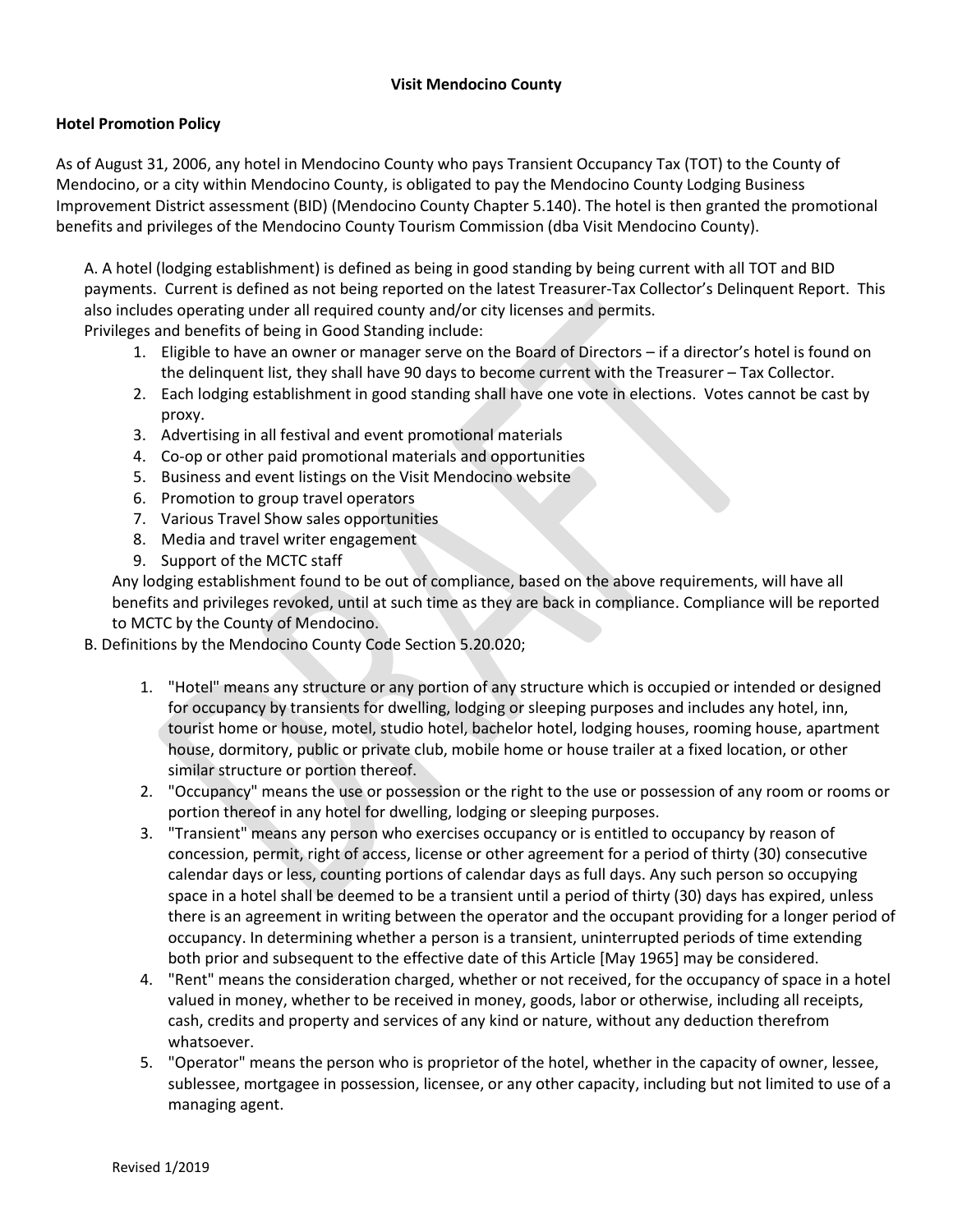## **Visit Mendocino County**

## **Hotel Promotion Policy**

As of August 31, 2006, any hotel in Mendocino County who pays Transient Occupancy Tax (TOT) to the County of Mendocino, or a city within Mendocino County, is obligated to pay the Mendocino County Lodging Business Improvement District assessment (BID) (Mendocino County Chapter 5.140). The hotel is then granted the promotional benefits and privileges of the Mendocino County Tourism Commission (dba Visit Mendocino County).

A. A hotel (lodging establishment) is defined as being in good standing by being current with all TOT and BID payments. Current is defined as not being reported on the latest Treasurer-Tax Collector's Delinquent Report. This also includes operating under all required county and/or city licenses and permits.

Privileges and benefits of being in Good Standing include:

- 1. Eligible to have an owner or manager serve on the Board of Directors if a director's hotel is found on the delinquent list, they shall have 90 days to become current with the Treasurer – Tax Collector.
- 2. Each lodging establishment in good standing shall have one vote in elections. Votes cannot be cast by proxy.
- 3. Advertising in all festival and event promotional materials
- 4. Co-op or other paid promotional materials and opportunities
- 5. Business and event listings on the Visit Mendocino website
- 6. Promotion to group travel operators
- 7. Various Travel Show sales opportunities
- 8. Media and travel writer engagement
- 9. Support of the MCTC staff

Any lodging establishment found to be out of compliance, based on the above requirements, will have all benefits and privileges revoked, until at such time as they are back in compliance. Compliance will be reported to MCTC by the County of Mendocino.

- B. Definitions by the Mendocino County Code Section 5.20.020;
	- 1. "Hotel" means any structure or any portion of any structure which is occupied or intended or designed for occupancy by transients for dwelling, lodging or sleeping purposes and includes any hotel, inn, tourist home or house, motel, studio hotel, bachelor hotel, lodging houses, rooming house, apartment house, dormitory, public or private club, mobile home or house trailer at a fixed location, or other similar structure or portion thereof.
	- 2. "Occupancy" means the use or possession or the right to the use or possession of any room or rooms or portion thereof in any hotel for dwelling, lodging or sleeping purposes.
	- 3. "Transient" means any person who exercises occupancy or is entitled to occupancy by reason of concession, permit, right of access, license or other agreement for a period of thirty (30) consecutive calendar days or less, counting portions of calendar days as full days. Any such person so occupying space in a hotel shall be deemed to be a transient until a period of thirty (30) days has expired, unless there is an agreement in writing between the operator and the occupant providing for a longer period of occupancy. In determining whether a person is a transient, uninterrupted periods of time extending both prior and subsequent to the effective date of this Article [May 1965] may be considered.
	- 4. "Rent" means the consideration charged, whether or not received, for the occupancy of space in a hotel valued in money, whether to be received in money, goods, labor or otherwise, including all receipts, cash, credits and property and services of any kind or nature, without any deduction therefrom whatsoever.
	- 5. "Operator" means the person who is proprietor of the hotel, whether in the capacity of owner, lessee, sublessee, mortgagee in possession, licensee, or any other capacity, including but not limited to use of a managing agent.